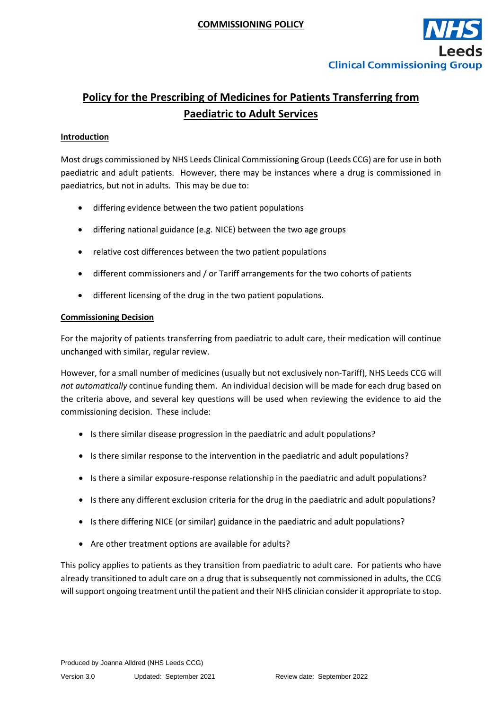

## **Policy for the Prescribing of Medicines for Patients Transferring from Paediatric to Adult Services**

## **Introduction**

Most drugs commissioned by NHS Leeds Clinical Commissioning Group (Leeds CCG) are for use in both paediatric and adult patients. However, there may be instances where a drug is commissioned in paediatrics, but not in adults. This may be due to:

- differing evidence between the two patient populations
- differing national guidance (e.g. NICE) between the two age groups
- relative cost differences between the two patient populations
- different commissioners and / or Tariff arrangements for the two cohorts of patients
- different licensing of the drug in the two patient populations.

## **Commissioning Decision**

For the majority of patients transferring from paediatric to adult care, their medication will continue unchanged with similar, regular review.

However, for a small number of medicines (usually but not exclusively non-Tariff), NHS Leeds CCG will *not automatically* continue funding them. An individual decision will be made for each drug based on the criteria above, and several key questions will be used when reviewing the evidence to aid the commissioning decision. These include:

- Is there similar disease progression in the paediatric and adult populations?
- Is there similar response to the intervention in the paediatric and adult populations?
- Is there a similar exposure-response relationship in the paediatric and adult populations?
- Is there any different exclusion criteria for the drug in the paediatric and adult populations?
- Is there differing NICE (or similar) guidance in the paediatric and adult populations?
- Are other treatment options are available for adults?

This policy applies to patients as they transition from paediatric to adult care. For patients who have already transitioned to adult care on a drug that is subsequently not commissioned in adults, the CCG will support ongoing treatment until the patient and their NHS clinician consider it appropriate to stop.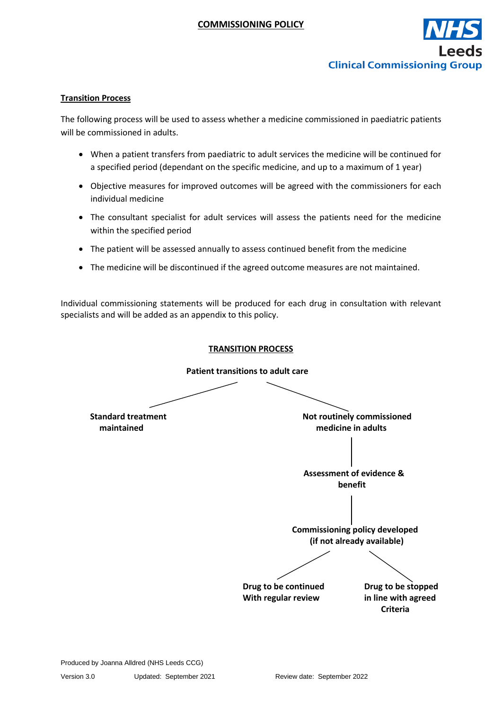

## **Transition Process**

The following process will be used to assess whether a medicine commissioned in paediatric patients will be commissioned in adults.

- When a patient transfers from paediatric to adult services the medicine will be continued for a specified period (dependant on the specific medicine, and up to a maximum of 1 year)
- Objective measures for improved outcomes will be agreed with the commissioners for each individual medicine
- The consultant specialist for adult services will assess the patients need for the medicine within the specified period
- The patient will be assessed annually to assess continued benefit from the medicine
- The medicine will be discontinued if the agreed outcome measures are not maintained.

Individual commissioning statements will be produced for each drug in consultation with relevant specialists and will be added as an appendix to this policy.